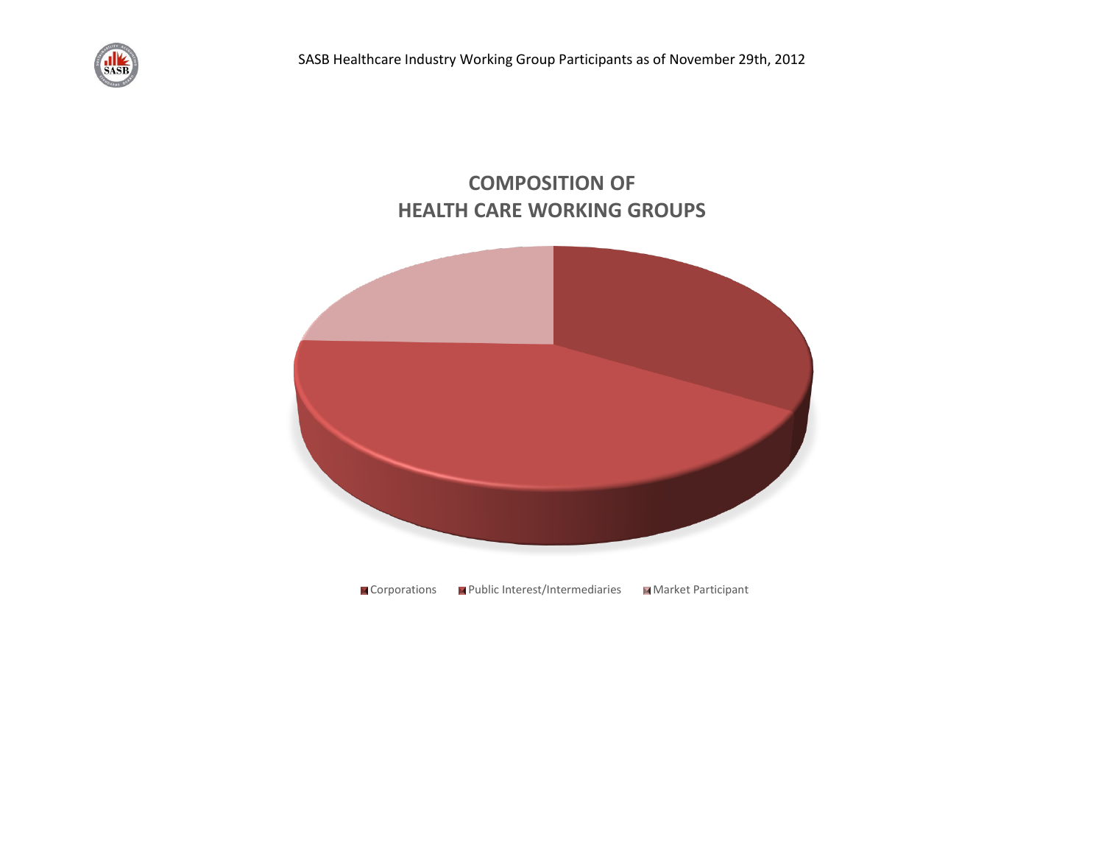

## **COMPOSITION OF HEALTH CARE WORKING GROUPS**

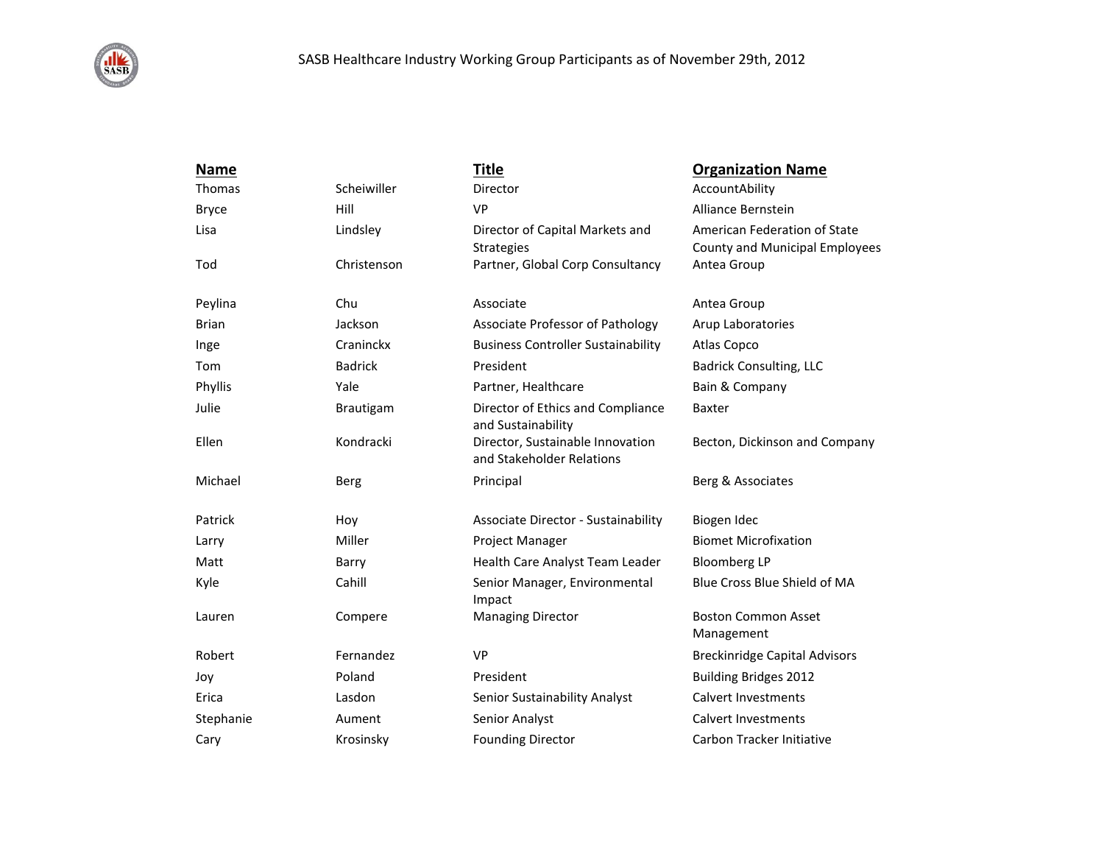

| <b>Name</b>  |                | <b>Title</b>                                                  | <b>Organization Name</b>                                              |
|--------------|----------------|---------------------------------------------------------------|-----------------------------------------------------------------------|
| Thomas       | Scheiwiller    | Director                                                      | AccountAbility                                                        |
| <b>Bryce</b> | Hill           | <b>VP</b>                                                     | Alliance Bernstein                                                    |
| Lisa         | Lindsley       | Director of Capital Markets and<br><b>Strategies</b>          | American Federation of State<br><b>County and Municipal Employees</b> |
| Tod          | Christenson    | Partner, Global Corp Consultancy                              | Antea Group                                                           |
| Peylina      | Chu            | Associate                                                     | Antea Group                                                           |
| <b>Brian</b> | Jackson        | Associate Professor of Pathology                              | Arup Laboratories                                                     |
| Inge         | Craninckx      | <b>Business Controller Sustainability</b>                     | Atlas Copco                                                           |
| Tom          | <b>Badrick</b> | President                                                     | <b>Badrick Consulting, LLC</b>                                        |
| Phyllis      | Yale           | Partner, Healthcare                                           | Bain & Company                                                        |
| Julie        | Brautigam      | Director of Ethics and Compliance<br>and Sustainability       | <b>Baxter</b>                                                         |
| Ellen        | Kondracki      | Director, Sustainable Innovation<br>and Stakeholder Relations | Becton, Dickinson and Company                                         |
| Michael      | Berg           | Principal                                                     | Berg & Associates                                                     |
| Patrick      | Hoy            | Associate Director - Sustainability                           | Biogen Idec                                                           |
| Larry        | Miller         | Project Manager                                               | <b>Biomet Microfixation</b>                                           |
| Matt         | Barry          | Health Care Analyst Team Leader                               | <b>Bloomberg LP</b>                                                   |
| Kyle         | Cahill         | Senior Manager, Environmental<br>Impact                       | Blue Cross Blue Shield of MA                                          |
| Lauren       | Compere        | <b>Managing Director</b>                                      | <b>Boston Common Asset</b><br>Management                              |
| Robert       | Fernandez      | <b>VP</b>                                                     | <b>Breckinridge Capital Advisors</b>                                  |
| Joy          | Poland         | President                                                     | <b>Building Bridges 2012</b>                                          |
| Erica        | Lasdon         | Senior Sustainability Analyst                                 | <b>Calvert Investments</b>                                            |
| Stephanie    | Aument         | Senior Analyst                                                | <b>Calvert Investments</b>                                            |
| Cary         | Krosinsky      | <b>Founding Director</b>                                      | Carbon Tracker Initiative                                             |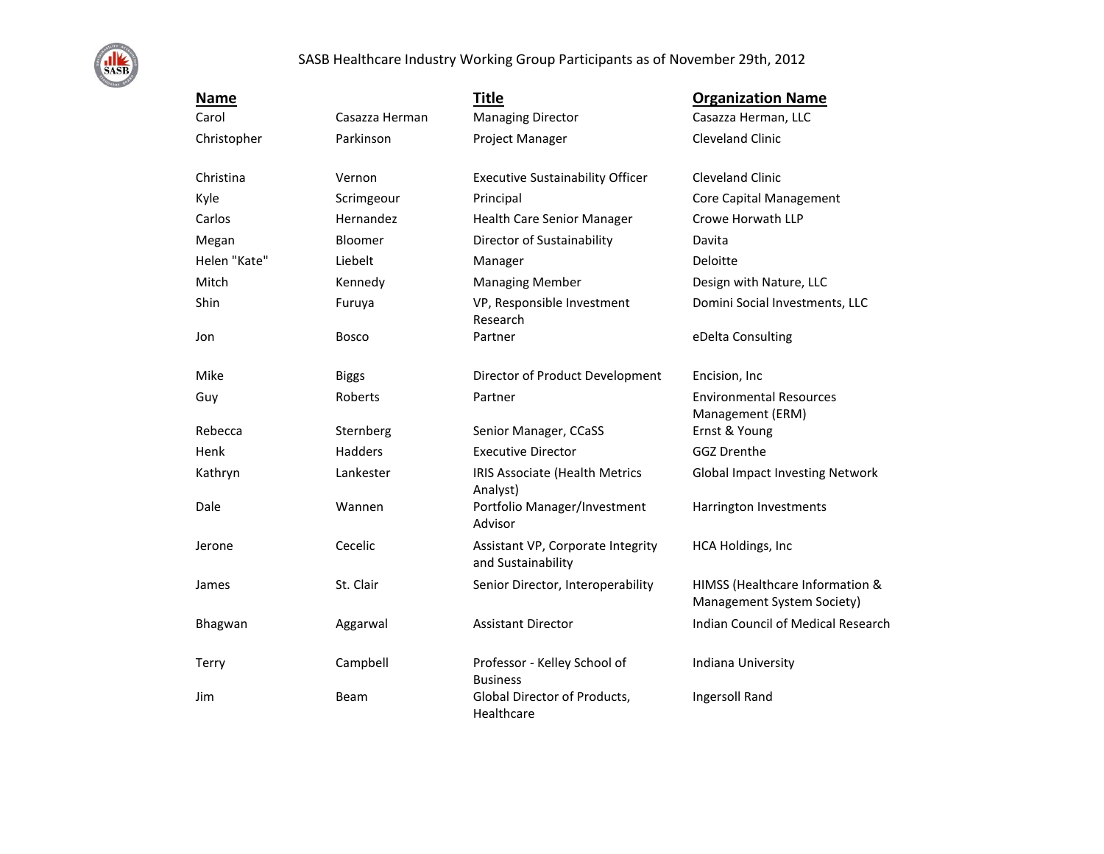

## SASB Healthcare Industry Working Group Participants as of November 29th, 2012

| <b>Name</b>  |                | <b>Title</b>                                            | <b>Organization Name</b>                                      |
|--------------|----------------|---------------------------------------------------------|---------------------------------------------------------------|
| Carol        | Casazza Herman | <b>Managing Director</b>                                | Casazza Herman, LLC                                           |
| Christopher  | Parkinson      | Project Manager                                         | <b>Cleveland Clinic</b>                                       |
| Christina    | Vernon         | <b>Executive Sustainability Officer</b>                 | <b>Cleveland Clinic</b>                                       |
| Kyle         | Scrimgeour     | Principal                                               | <b>Core Capital Management</b>                                |
| Carlos       | Hernandez      | Health Care Senior Manager                              | Crowe Horwath LLP                                             |
| Megan        | Bloomer        | Director of Sustainability                              | Davita                                                        |
| Helen "Kate" | Liebelt        | Manager                                                 | Deloitte                                                      |
| Mitch        | Kennedy        | <b>Managing Member</b>                                  | Design with Nature, LLC                                       |
| Shin         | Furuya         | VP, Responsible Investment<br>Research                  | Domini Social Investments, LLC                                |
| Jon          | <b>Bosco</b>   | Partner                                                 | eDelta Consulting                                             |
| Mike         | <b>Biggs</b>   | Director of Product Development                         | Encision, Inc.                                                |
| Guy          | Roberts        | Partner                                                 | <b>Environmental Resources</b><br>Management (ERM)            |
| Rebecca      | Sternberg      | Senior Manager, CCaSS                                   | Ernst & Young                                                 |
| Henk         | Hadders        | <b>Executive Director</b>                               | <b>GGZ Drenthe</b>                                            |
| Kathryn      | Lankester      | IRIS Associate (Health Metrics<br>Analyst)              | <b>Global Impact Investing Network</b>                        |
| Dale         | Wannen         | Portfolio Manager/Investment<br>Advisor                 | Harrington Investments                                        |
| Jerone       | Cecelic        | Assistant VP, Corporate Integrity<br>and Sustainability | HCA Holdings, Inc                                             |
| James        | St. Clair      | Senior Director, Interoperability                       | HIMSS (Healthcare Information &<br>Management System Society) |
| Bhagwan      | Aggarwal       | <b>Assistant Director</b>                               | Indian Council of Medical Research                            |
| Terry        | Campbell       | Professor - Kelley School of<br><b>Business</b>         | Indiana University                                            |
| Jim          | <b>Beam</b>    | Global Director of Products,<br>Healthcare              | Ingersoll Rand                                                |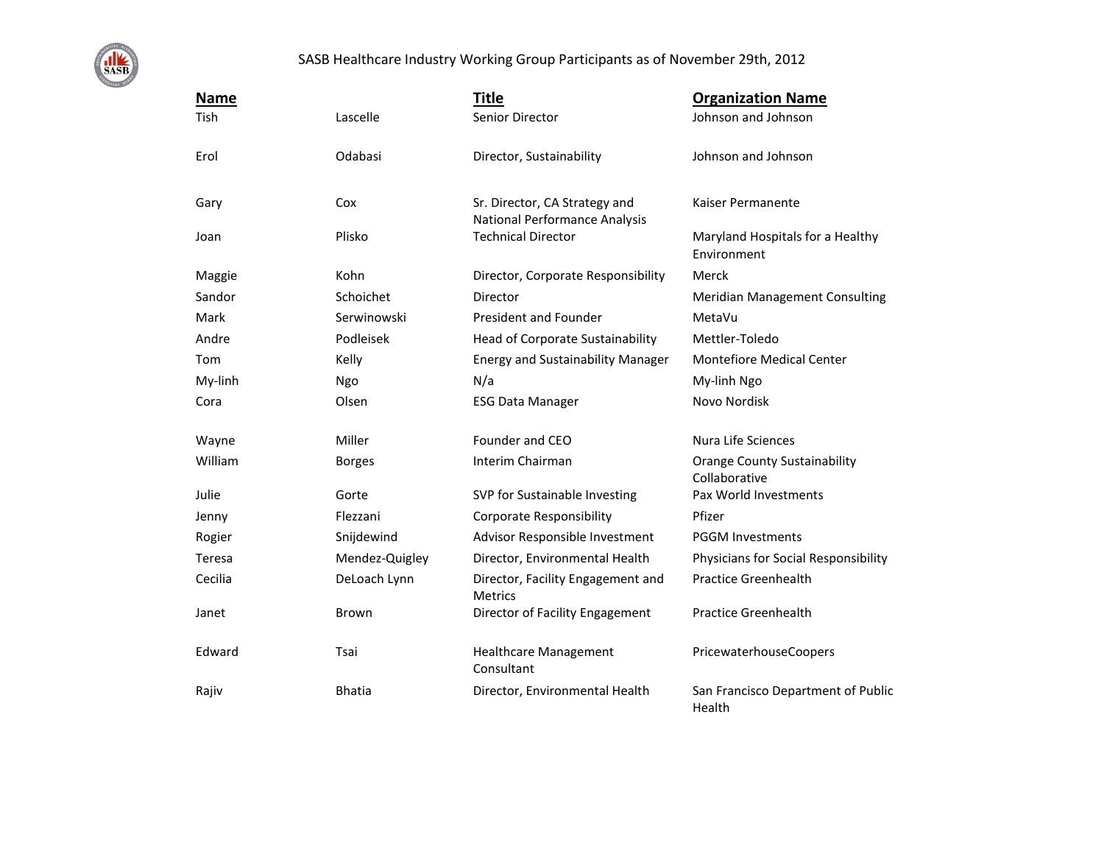

## SASB Healthcare Industry Working Group Participants as of November 29th, 2012

| <b>Name</b> |                | <b>Title</b>                                                   | <b>Organization Name</b>                             |
|-------------|----------------|----------------------------------------------------------------|------------------------------------------------------|
| Tish        | Lascelle       | Senior Director                                                | Johnson and Johnson                                  |
| Erol        | Odabasi        | Director, Sustainability                                       | Johnson and Johnson                                  |
| Gary        | Cox            | Sr. Director, CA Strategy and<br>National Performance Analysis | Kaiser Permanente                                    |
| Joan        | Plisko         | <b>Technical Director</b>                                      | Maryland Hospitals for a Healthy<br>Environment      |
| Maggie      | Kohn           | Director, Corporate Responsibility                             | Merck                                                |
| Sandor      | Schoichet      | Director                                                       | <b>Meridian Management Consulting</b>                |
| Mark        | Serwinowski    | President and Founder                                          | MetaVu                                               |
| Andre       | Podleisek      | Head of Corporate Sustainability                               | Mettler-Toledo                                       |
| Tom         | Kelly          | <b>Energy and Sustainability Manager</b>                       | <b>Montefiore Medical Center</b>                     |
| My-linh     | Ngo            | N/a                                                            | My-linh Ngo                                          |
| Cora        | Olsen          | <b>ESG Data Manager</b>                                        | Novo Nordisk                                         |
| Wayne       | Miller         | Founder and CEO                                                | Nura Life Sciences                                   |
| William     | <b>Borges</b>  | Interim Chairman                                               | <b>Orange County Sustainability</b><br>Collaborative |
| Julie       | Gorte          | SVP for Sustainable Investing                                  | Pax World Investments                                |
| Jenny       | Flezzani       | <b>Corporate Responsibility</b>                                | Pfizer                                               |
| Rogier      | Snijdewind     | Advisor Responsible Investment                                 | <b>PGGM Investments</b>                              |
| Teresa      | Mendez-Quigley | Director, Environmental Health                                 | Physicians for Social Responsibility                 |
| Cecilia     | DeLoach Lynn   | Director, Facility Engagement and<br>Metrics                   | <b>Practice Greenhealth</b>                          |
| Janet       | Brown          | Director of Facility Engagement                                | <b>Practice Greenhealth</b>                          |
| Edward      | Tsai           | <b>Healthcare Management</b><br>Consultant                     | PricewaterhouseCoopers                               |
| Rajiv       | <b>Bhatia</b>  | Director, Environmental Health                                 | San Francisco Department of Public<br>Health         |